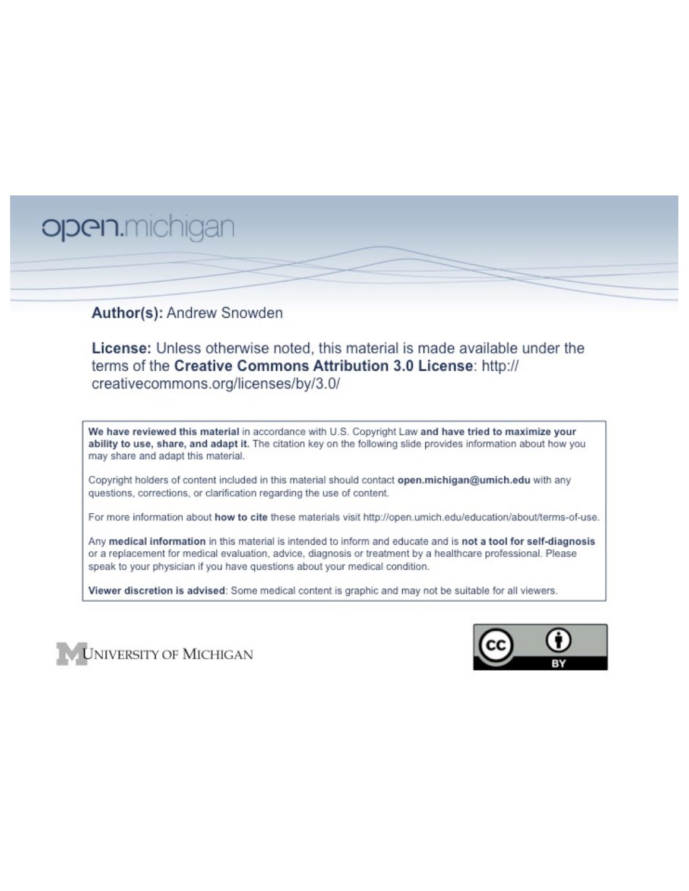# open.michigan

## Author(s): Andrew Snowden

License: Unless otherwise noted, this material is made available under the terms of the Creative Commons Attribution 3.0 License: http:// creativecommons.org/licenses/by/3.0/

We have reviewed this material in accordance with U.S. Copyright Law and have tried to maximize your ability to use, share, and adapt it. The citation key on the following slide provides information about how you may share and adapt this material.

Copyright holders of content included in this material should contact open.michigan@umich.edu with any questions, corrections, or clarification regarding the use of content.

For more information about how to cite these materials visit http://open.umich.edu/education/about/terms-of-use.

Any medical information in this material is intended to inform and educate and is not a tool for self-diagnosis or a replacement for medical evaluation, advice, diagnosis or treatment by a healthcare professional. Please speak to your physician if you have questions about your medical condition.

Viewer discretion is advised: Some medical content is graphic and may not be suitable for all viewers.



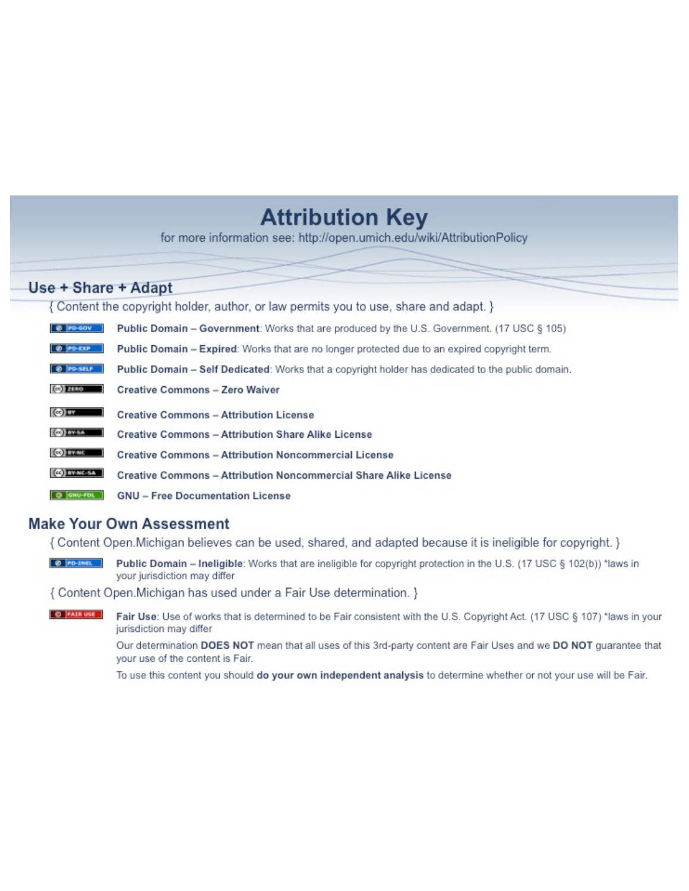## **Attribution Key**

for more information see: http://open.umich.edu/wiki/AttributionPolicy

## Use + Share + Adapt

{ Content the copyright holder, author, or law permits you to use, share and adapt. }

| @ PD-GOV                  | <b>Public Domain - Government:</b> Works that are produced by the U.S. Government. (17 USC § 105) |
|---------------------------|---------------------------------------------------------------------------------------------------|
| @ PD-EXP                  | Public Domain - Expired: Works that are no longer protected due to an expired copyright term.     |
| @ PO-SELF                 | Public Domain - Self Dedicated: Works that a copyright holder has dedicated to the public domain. |
| $(c2)$ 21110              | <b>Creative Commons - Zero Waiver</b>                                                             |
| $\left($ ce) $\right)$ my | <b>Creative Commons - Attribution License</b>                                                     |
| <b>CO</b> ITY-SA          | <b>Creative Commons - Attribution Share Alike License</b>                                         |
| <b>CO</b> BY-NC           | <b>Creative Commons - Attribution Noncommercial License</b>                                       |
| <b>CO</b> BY-NC-SA        | Creative Commons - Attribution Noncommercial Share Alike License                                  |
| GNU-FOL                   | <b>GNU - Free Documentation License</b>                                                           |

## **Make Your Own Assessment**

{ Content Open. Michigan believes can be used, shared, and adapted because it is ineligible for copyright. }

Public Domain - Ineligible: Works that are ineligible for copyright protection in the U.S. (17 USC § 102(b)) \*laws in your jurisdiction may differ

{ Content Open. Michigan has used under a Fair Use determination. }

**O** FAIR USE Fair Use: Use of works that is determined to be Fair consistent with the U.S. Copyright Act. (17 USC § 107) \*laws in your jurisdiction may differ

> Our determination DOES NOT mean that all uses of this 3rd-party content are Fair Uses and we DO NOT guarantee that your use of the content is Fair.

To use this content you should do your own independent analysis to determine whether or not your use will be Fair.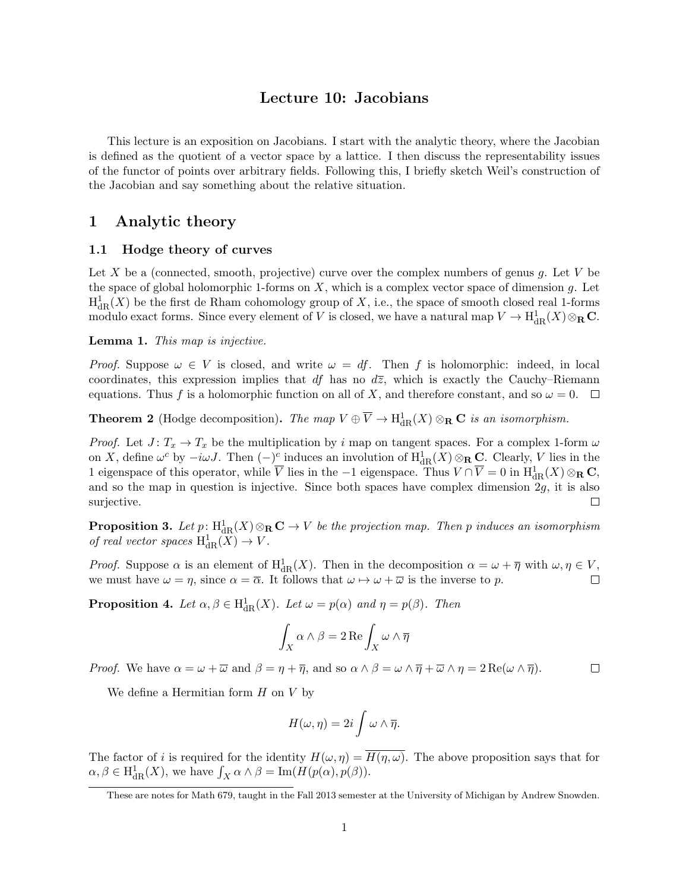## Lecture 10: Jacobians

This lecture is an exposition on Jacobians. I start with the analytic theory, where the Jacobian is defined as the quotient of a vector space by a lattice. I then discuss the representability issues of the functor of points over arbitrary fields. Following this, I briefly sketch Weil's construction of the Jacobian and say something about the relative situation.

## 1 Analytic theory

#### 1.1 Hodge theory of curves

Let *X* be a (connected, smooth, projective) curve over the complex numbers of genus *g*. Let *V* be the space of global holomorphic 1-forms on *X*, which is a complex vector space of dimension *g*. Let  $H^1_{\text{dR}}(X)$  be the first de Rham cohomology group of X, i.e., the space of smooth closed real 1-forms modulo exact forms. Since every element of *V* is closed, we have a natural map  $V \to H^1_{\text{dR}}(X) \otimes_R \mathbf{C}$ .

#### Lemma 1. *This map is injective.*

*Proof.* Suppose  $\omega \in V$  is closed, and write  $\omega = df$ . Then f is holomorphic: indeed, in local coordinates, this expression implies that  $df$  has no  $d\overline{z}$ , which is exactly the Cauchy–Riemann equations. Thus f is a holomorphic function on all of X, and therefore constant, and so  $\omega = 0$ .  $\Box$ 

**Theorem 2** (Hodge decomposition). The map  $V \oplus \overline{V} \to H^1_{dR}(X) \otimes_R \mathbb{C}$  *is an isomorphism.* 

*Proof.* Let  $J: T_x \to T_x$  be the multiplication by *i* map on tangent spaces. For a complex 1-form  $\omega$ on *X*, define  $\omega^c$  by  $-i\omega J$ . Then  $(-)^c$  induces an involution of  $H^1_{dR}(X)\otimes_R \mathbf{C}$ . Clearly, *V* lies in the 1 eigenspace of this operator, while  $\overline{V}$  lies in the  $-1$  eigenspace. Thus  $V \cap \overline{V} = 0$  in  $H^1_{dR}(X) \otimes_R \mathbf{C}$ , and so the map in question is injective. Since both spaces have complex dimension 2*g*, it is also surjective.  $\Box$ 

**Proposition 3.** Let  $p: H^1_{\text{dR}}(X) \otimes_R \mathbf{C} \to V$  be the projection map. Then p induces an isomorphism *of real vector spaces*  $H^1_{dR}(X) \to V$ .

*Proof.* Suppose  $\alpha$  is an element of  $H^1_{dR}(X)$ . Then in the decomposition  $\alpha = \omega + \overline{\eta}$  with  $\omega, \eta \in V$ , we must have  $\omega = \eta$ , since  $\alpha = \overline{\alpha}$ . It follows that  $\omega \mapsto \omega + \overline{\omega}$  is the inverse to p.

**Proposition 4.** Let  $\alpha, \beta \in H^1_{dR}(X)$ . Let  $\omega = p(\alpha)$  and  $\eta = p(\beta)$ . Then

$$
\int_X \alpha \wedge \beta = 2 \operatorname{Re} \int_X \omega \wedge \overline{\eta}
$$

*Proof.* We have  $\alpha = \omega + \overline{\omega}$  and  $\beta = \eta + \overline{\eta}$ , and so  $\alpha \wedge \beta = \omega \wedge \overline{\eta} + \overline{\omega} \wedge \eta = 2 \operatorname{Re}(\omega \wedge \overline{\eta})$ .  $\Box$ 

We define a Hermitian form *H* on *V* by

$$
H(\omega, \eta) = 2i \int \omega \wedge \overline{\eta}.
$$

The factor of *i* is required for the identity  $H(\omega, \eta) = \overline{H(\eta, \omega)}$ . The above proposition says that for  $\alpha, \beta \in H^1_{\mathrm{dR}}(X)$ , we have  $\int_X \alpha \wedge \beta = \mathrm{Im}(H(p(\alpha), p(\beta)).$ 

These are notes for Math 679, taught in the Fall 2013 semester at the University of Michigan by Andrew Snowden.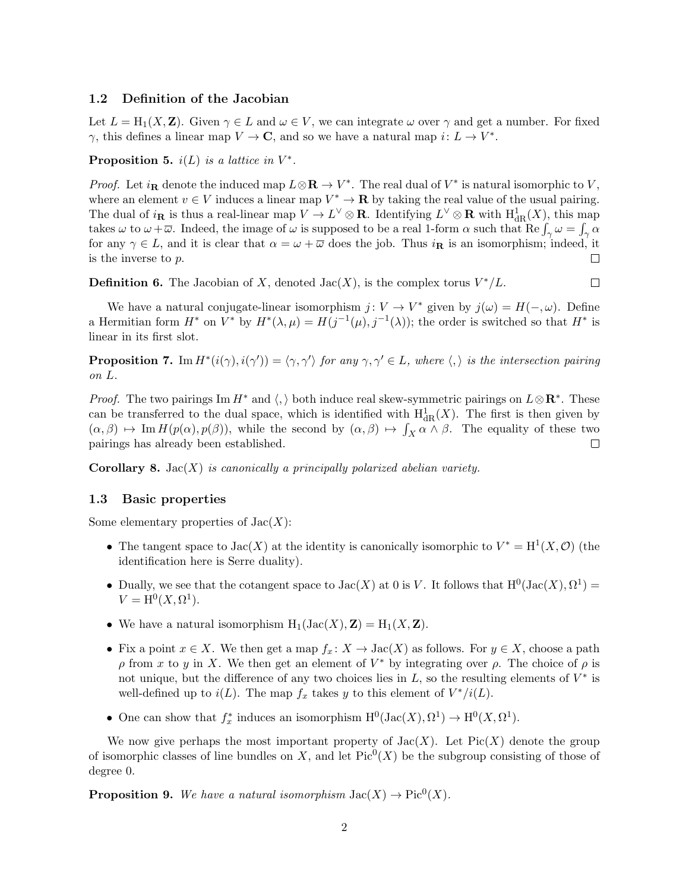#### 1.2 Definition of the Jacobian

Let  $L = H_1(X, Z)$ . Given  $\gamma \in L$  and  $\omega \in V$ , we can integrate  $\omega$  over  $\gamma$  and get a number. For fixed  $\gamma$ , this defines a linear map  $V \to \mathbf{C}$ , and so we have a natural map  $i: L \to V^*$ .

**Proposition 5.**  $i(L)$  *is a lattice in*  $V^*$ .

*Proof.* Let  $i_{\mathbf{R}}$  denote the induced map  $L \otimes \mathbf{R} \to V^*$ . The real dual of  $V^*$  is natural isomorphic to V, where an element  $v \in V$  induces a linear map  $V^* \to \mathbf{R}$  by taking the real value of the usual pairing. The dual of  $i_{\mathbf{R}}$  is thus a real-linear map  $V \to L^{\vee} \otimes \mathbf{R}$ . Identifying  $L^{\vee} \otimes \mathbf{R}$  with  $H^1_{dR}(X)$ , this map takes  $\omega$  to  $\omega + \overline{\omega}$ . Indeed, the image of  $\omega$  is supposed to be a real 1-form  $\alpha$  such that  $\text{Re}\int_{\gamma}\omega = \int_{\gamma}\alpha$ for any  $\gamma \in L$ , and it is clear that  $\alpha = \omega + \overline{\omega}$  does the job. Thus  $i_{\mathbf{R}}$  is an isomorphism; indeed, it is the inverse to *p*. is the inverse to *p*.

**Definition 6.** The Jacobian of X, denoted  $Jac(X)$ , is the complex torus  $V^*/L$ .  $\Box$ 

We have a natural conjugate-linear isomorphism  $j: V \to V^*$  given by  $j(\omega) = H(-, \omega)$ . Define a Hermitian form  $H^*$  on  $V^*$  by  $H^*(\lambda, \mu) = H(j^{-1}(\mu), j^{-1}(\lambda))$ ; the order is switched so that  $H^*$  is linear in its first slot.

**Proposition 7.** Im  $H^*(i(\gamma), i(\gamma')) = \langle \gamma, \gamma' \rangle$  for any  $\gamma, \gamma' \in L$ , where  $\langle, \rangle$  is the intersection pairing *on L.*

*Proof.* The two pairings Im  $H^*$  and  $\langle, \rangle$  both induce real skew-symmetric pairings on  $L \otimes \mathbb{R}^*$ . These can be transferred to the dual space, which is identified with  $H^1_{dR}(X)$ . The first is then given by  $(\alpha, \beta) \mapsto \text{Im } H(p(\alpha), p(\beta))$ , while the second by  $(\alpha, \beta) \mapsto \int_X \alpha \wedge \beta$ . The equality of these two pairings has already been established.

Corollary 8. Jac(*X*) *is canonically a principally polarized abelian variety.*

#### 1.3 Basic properties

Some elementary properties of Jac(*X*):

- The tangent space to  $Jac(X)$  at the identity is canonically isomorphic to  $V^* = H^1(X, \mathcal{O})$  (the identification here is Serre duality).
- Dually, we see that the cotangent space to  $Jac(X)$  at 0 is *V*. It follows that  $H^0(Jac(X), \Omega^1)$  =  $V = H^{0}(X, \Omega^{1}).$
- We have a natural isomorphism  $H_1(Jac(X), Z) = H_1(X, Z)$ .
- Fix a point  $x \in X$ . We then get a map  $f_x: X \to \text{Jac}(X)$  as follows. For  $y \in X$ , choose a path  $\rho$  from x to y in X. We then get an element of  $V^*$  by integrating over  $\rho$ . The choice of  $\rho$  is not unique, but the difference of any two choices lies in  $L$ , so the resulting elements of  $V^*$  is well-defined up to  $i(L)$ . The map  $f_x$  takes *y* to this element of  $V^*/i(L)$ .
- One can show that  $f_x^*$  induces an isomorphism  $H^0(\text{Jac}(X), \Omega^1) \to H^0(X, \Omega^1)$ .

We now give perhaps the most important property of  $Jac(X)$ . Let  $Pic(X)$  denote the group of isomorphic classes of line bundles on *X*, and let  $Pic^0(X)$  be the subgroup consisting of those of degree 0.

**Proposition 9.** We have a natural isomorphism  $Jac(X) \to Pic^0(X)$ .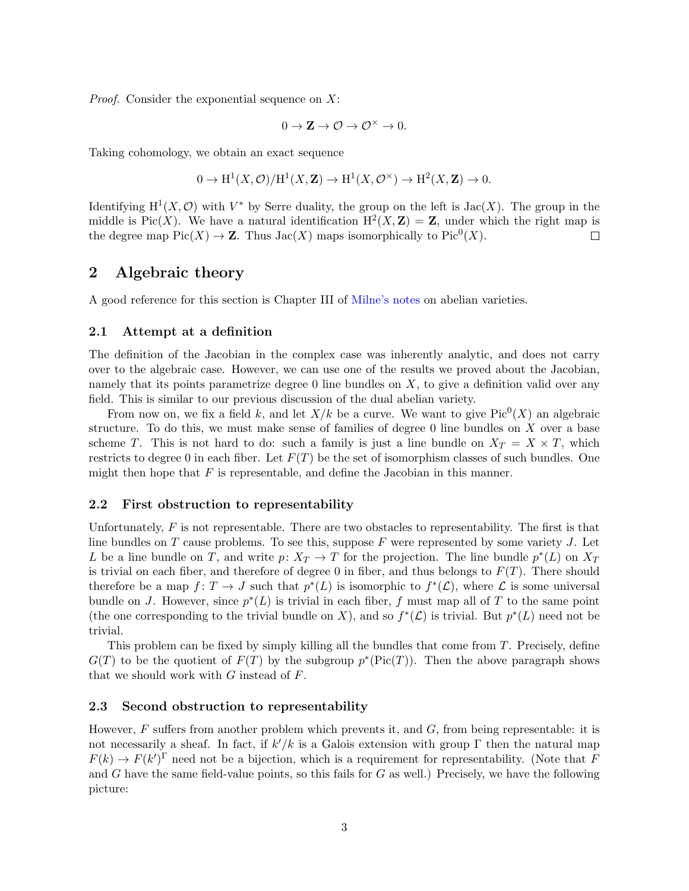*Proof.* Consider the exponential sequence on *X*:

$$
0 \to \mathbf{Z} \to \mathcal{O} \to \mathcal{O}^\times \to 0.
$$

Taking cohomology, we obtain an exact sequence

$$
0 \to H^1(X, \mathcal{O})/H^1(X, \mathbf{Z}) \to H^1(X, \mathcal{O}^\times) \to H^2(X, \mathbf{Z}) \to 0.
$$

Identifying  $H^1(X, \mathcal{O})$  with  $V^*$  by Serre duality, the group on the left is Jac(*X*). The group in the middle is Pic(*X*). We have a natural identification  $H^2(X, Z) = Z$ , under which the right map is the degree map  $Pic(X) \to \mathbb{Z}$ . Thus  $Jac(X)$  maps isomorphically to  $Pic^0(X)$ .  $\Box$ 

### 2 Algebraic theory

A good reference for this section is Chapter III of Milne's notes on abelian varieties.

#### 2.1 Attempt at a definition

The definition of the Jacobian in the complex case was inherently analytic, and does not carry over to the algebraic case. However, we can use one of the results we proved about the Jacobian, namely that its points parametrize degree 0 line bundles on *X*, to give a definition valid over any field. This is similar to our previous discussion of the dual abelian variety.

From now on, we fix a field k, and let  $X/k$  be a curve. We want to give Pic<sup>0</sup>(X) an algebraic structure. To do this, we must make sense of families of degree 0 line bundles on *X* over a base scheme *T*. This is not hard to do: such a family is just a line bundle on  $X_T = X \times T$ , which restricts to degree 0 in each fiber. Let  $F(T)$  be the set of isomorphism classes of such bundles. One might then hope that *F* is representable, and define the Jacobian in this manner.

#### 2.2 First obstruction to representability

Unfortunately, F is not representable. There are two obstacles to representability. The first is that line bundles on *T* cause problems. To see this, suppose *F* were represented by some variety *J*. Let *L* be a line bundle on *T*, and write *p*:  $X_T \to T$  for the projection. The line bundle  $p^*(L)$  on  $X_T$ is trivial on each fiber, and therefore of degree 0 in fiber, and thus belongs to  $F(T)$ . There should therefore be a map  $f: T \to J$  such that  $p^*(L)$  is isomorphic to  $f^*(\mathcal{L})$ , where  $\mathcal{L}$  is some universal bundle on *J*. However, since  $p^*(L)$  is trivial in each fiber, f must map all of T to the same point (the one corresponding to the trivial bundle on X), and so  $f^*(\mathcal{L})$  is trivial. But  $p^*(L)$  need not be trivial.

This problem can be fixed by simply killing all the bundles that come from *T*. Precisely, define  $G(T)$  to be the quotient of  $F(T)$  by the subgroup  $p^*(Pic(T))$ . Then the above paragraph shows that we should work with *G* instead of *F*.

#### 2.3 Second obstruction to representability

However,  $F$  suffers from another problem which prevents it, and  $G$ , from being representable: it is not necessarily a sheaf. In fact, if  $k'/k$  is a Galois extension with group  $\Gamma$  then the natural map  $F(k) \to F(k')^{\Gamma}$  need not be a bijection, which is a requirement for representability. (Note that *F* and *G* have the same field-value points, so this fails for *G* as well.) Precisely, we have the following picture: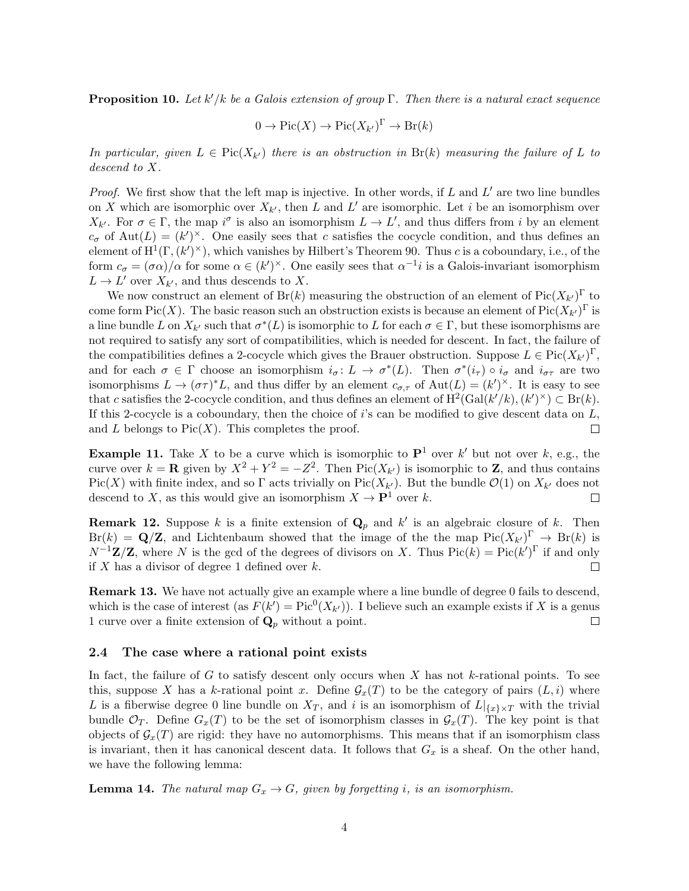**Proposition 10.** Let  $k'/k$  be a Galois extension of group  $\Gamma$ . Then there is a natural exact sequence

$$
0 \to Pic(X) \to Pic(X_{k'})^{\Gamma} \to Br(k)
$$

*In particular, given*  $L \in Pic(X_{k'})$  *there is an obstruction in*  $Br(k)$  *measuring the failure of*  $L$  *to descend to X.*

*Proof.* We first show that the left map is injective. In other words, if L and L' are two line bundles on X which are isomorphic over  $X_{k}$ , then L and L' are isomorphic. Let i be an isomorphism over  $X_{k'}$ . For  $\sigma \in \Gamma$ , the map  $i^{\sigma}$  is also an isomorphism  $L \to L'$ , and thus differs from *i* by an element  $c_{\sigma}$  of Aut $(L)=(k')^{\times}$ . One easily sees that *c* satisfies the cocycle condition, and thus defines an element of  $H^1(\Gamma, (k')^{\times})$ , which vanishes by Hilbert's Theorem 90. Thus *c* is a coboundary, i.e., of the form  $c_{\sigma} = (\sigma \alpha)/\alpha$  for some  $\alpha \in (k')^{\times}$ . One easily sees that  $\alpha^{-1}i$  is a Galois-invariant isomorphism  $L \rightarrow L'$  over  $X_{k'}$ , and thus descends to *X*.

We now construct an element of  $Br(k)$  measuring the obstruction of an element of  $Pic(X_{k'})^{\Gamma}$  to come form Pic(*X*). The basic reason such an obstruction exists is because an element of Pic( $X_{k}$ <sup>1</sup>)<sup> $\Gamma$ </sup> is a line bundle *L* on  $X_{k'}$  such that  $\sigma^*(L)$  is isomorphic to *L* for each  $\sigma \in \Gamma$ , but these isomorphisms are not required to satisfy any sort of compatibilities, which is needed for descent. In fact, the failure of the compatibilities defines a 2-cocycle which gives the Brauer obstruction. Suppose  $L \in Pic(X_{k'})^{\Gamma}$ , and for each  $\sigma \in \Gamma$  choose an isomorphism  $i_{\sigma} : L \to \sigma^*(L)$ . Then  $\sigma^*(i_{\tau}) \circ i_{\sigma}$  and  $i_{\sigma_{\tau}}$  are two isomorphisms  $L \to (\sigma \tau)^* L$ , and thus differ by an element  $c_{\sigma,\tau}$  of  $Aut(L) = (k')^{\times}$ . It is easy to see that *c* satisfies the 2-cocycle condition, and thus defines an element of  $H^2(\text{Gal}(k'/k), (k')^{\times}) \subset \text{Br}(k)$ . If this 2-cocycle is a coboundary, then the choice of *i*'s can be modified to give descent data on *L*, and  $L$  belongs to  $Pic(X)$ . This completes the proof.  $\Box$ 

**Example 11.** Take X to be a curve which is isomorphic to  $\mathbf{P}^1$  over k' but not over k, e.g., the curve over  $k = \mathbf{R}$  given by  $X^2 + Y^2 = -Z^2$ . Then Pic( $X_{k'}$ ) is isomorphic to **Z**, and thus contains Pic(*X*) with finite index, and so  $\Gamma$  acts trivially on Pic(*X<sub>k'</sub>*). But the bundle  $\mathcal{O}(1)$  on  $X_{k'}$  does not descend to *X*, as this would give an isomorphism  $X \to \mathbf{P}^1$  over *k*. descend to *X*, as this would give an isomorphism  $X \to \mathbf{P}^1$  over *k*.

**Remark 12.** Suppose *k* is a finite extension of  $\mathbf{Q}_p$  and  $k'$  is an algebraic closure of *k*. Then  $Br(k) = \mathbf{Q}/\mathbf{Z}$ , and Lichtenbaum showed that the image of the the map  $Pic(X_{k'})^{\Gamma} \to Br(k)$  is  $N^{-1}\mathbf{Z}/\mathbf{Z}$ , where *N* is the gcd of the degrees of divisors on *X*. Thus  $Pic(k) = Pic(k')^{\Gamma}$  if and only if *X* has a divisor of degree 1 defined over *k*.  $\Box$ 

Remark 13. We have not actually give an example where a line bundle of degree 0 fails to descend, which is the case of interest (as  $F(k') = Pic^0(X_{k'}))$ . I believe such an example exists if *X* is a genus 1 curve over a finite extension of  $\mathbf{Q}_p$  without a point.  $\Box$ 

#### 2.4 The case where a rational point exists

In fact, the failure of *G* to satisfy descent only occurs when *X* has not *k*-rational points. To see this, suppose X has a *k*-rational point x. Define  $\mathcal{G}_x(T)$  to be the category of pairs  $(L, i)$  where *L* is a fiberwise degree 0 line bundle on  $X_T$ , and *i* is an isomorphism of  $L|_{\{x\}\times T}$  with the trivial bundle  $\mathcal{O}_T$ . Define  $G_x(T)$  to be the set of isomorphism classes in  $\mathcal{G}_x(T)$ . The key point is that objects of  $\mathcal{G}_x(T)$  are rigid: they have no automorphisms. This means that if an isomorphism class is invariant, then it has canonical descent data. It follows that *G<sup>x</sup>* is a sheaf. On the other hand, we have the following lemma:

**Lemma 14.** The natural map  $G_x \rightarrow G$ , given by forgetting *i*, is an isomorphism.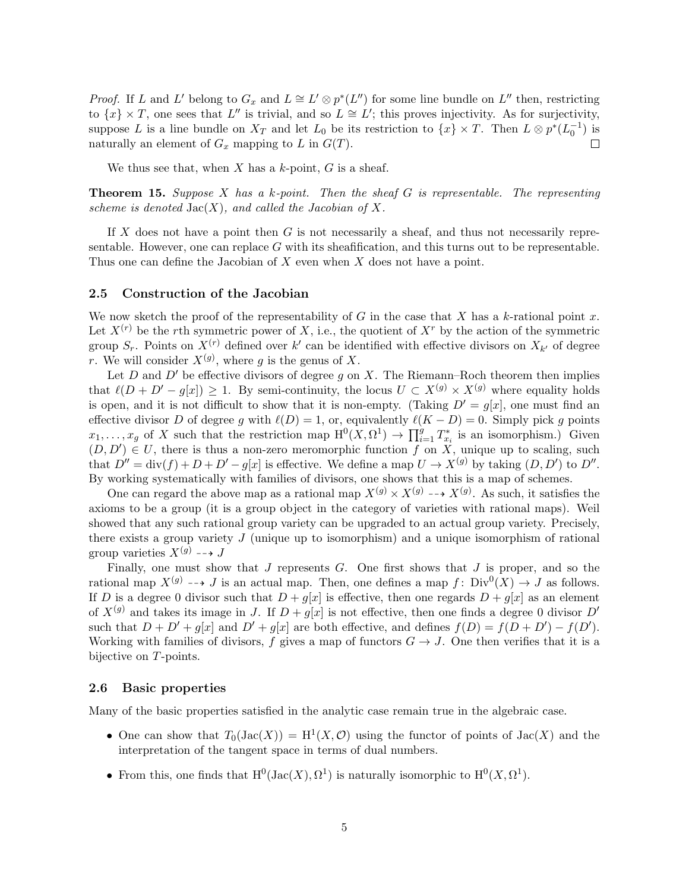*Proof.* If *L* and *L*<sup> $\prime$ </sup> belong to  $G_x$  and  $L \cong L' \otimes p^*(L'')$  for some line bundle on  $L''$  then, restricting to  $\{x\} \times T$ , one sees that  $L''$  is trivial, and so  $L \cong L'$ ; this proves injectivity. As for surjectivity, suppose *L* is a line bundle on  $X_T$  and let  $L_0$  be its restriction to  $\{x\} \times T$ . Then  $L \otimes p^*(L_0^{-1})$  is naturally an element of  $G_x$  mapping to  $L$  in  $G(T)$ .

We thus see that, when *X* has a *k*-point, *G* is a sheaf.

Theorem 15. *Suppose X has a k-point. Then the sheaf G is representable. The representing scheme is denoted*  $Jac(X)$ *, and called the Jacobian of* X.

If *X* does not have a point then *G* is not necessarily a sheaf, and thus not necessarily representable. However, one can replace *G* with its sheafification, and this turns out to be representable. Thus one can define the Jacobian of *X* even when *X* does not have a point.

#### 2.5 Construction of the Jacobian

We now sketch the proof of the representability of *G* in the case that *X* has a *k*-rational point *x*. Let  $X^{(r)}$  be the *r*th symmetric power of *X*, i.e., the quotient of  $X^r$  by the action of the symmetric group  $S_r$ . Points on  $X^{(r)}$  defined over  $k'$  can be identified with effective divisors on  $X_{k'}$  of degree *r*. We will consider  $X^{(g)}$ , where *g* is the genus of *X*.

Let *D* and *D'* be effective divisors of degree  $g$  on  $X$ . The Riemann–Roch theorem then implies that  $\ell(D + D' - g[x]) \geq 1$ . By semi-continuity, the locus  $U \subset X^{(g)} \times X^{(g)}$  where equality holds is open, and it is not difficult to show that it is non-empty. (Taking  $D' = g[x]$ , one must find an effective divisor *D* of degree *g* with  $\ell(D) = 1$ , or, equivalently  $\ell(K - D) = 0$ . Simply pick *g* points  $x_1, \ldots, x_g$  of *X* such that the restriction map  $H^0(X, \Omega^1) \to \prod_{i=1}^g T^*_{x_i}$  is an isomorphism.) Given  $(D, D') \in U$ , there is thus a non-zero meromorphic function *f* on *X*, unique up to scaling, such that  $D'' = \text{div}(f) + D + D' - g[x]$  is effective. We define a map  $U \to X^{(g)}$  by taking  $(D, D')$  to  $D''$ . By working systematically with families of divisors, one shows that this is a map of schemes.

One can regard the above map as a rational map  $X^{(g)} \times X^{(g)} \longrightarrow X^{(g)}$ . As such, it satisfies the axioms to be a group (it is a group object in the category of varieties with rational maps). Weil showed that any such rational group variety can be upgraded to an actual group variety. Precisely, there exists a group variety *J* (unique up to isomorphism) and a unique isomorphism of rational group varieties  $X^{(g)} \dashrightarrow J$ 

Finally, one must show that *J* represents *G*. One first shows that *J* is proper, and so the rational map  $X^{(g)} \dashrightarrow J$  is an actual map. Then, one defines a map  $f: Div^0(X) \to J$  as follows. If *D* is a degree 0 divisor such that  $D + g[x]$  is effective, then one regards  $D + g[x]$  as an element of  $X^{(g)}$  and takes its image in *J*. If  $D + g[x]$  is not effective, then one finds a degree 0 divisor  $D'$ such that  $D + D' + g[x]$  and  $D' + g[x]$  are both effective, and defines  $f(D) = f(D + D') - f(D')$ . Working with families of divisors, f gives a map of functors  $G \to J$ . One then verifies that it is a bijective on *T*-points.

#### 2.6 Basic properties

Many of the basic properties satisfied in the analytic case remain true in the algebraic case.

- One can show that  $T_0(\text{Jac}(X)) = H^1(X, \mathcal{O})$  using the functor of points of  $\text{Jac}(X)$  and the interpretation of the tangent space in terms of dual numbers.
- From this, one finds that  $H^0(Jac(X), \Omega^1)$  is naturally isomorphic to  $H^0(X, \Omega^1)$ .